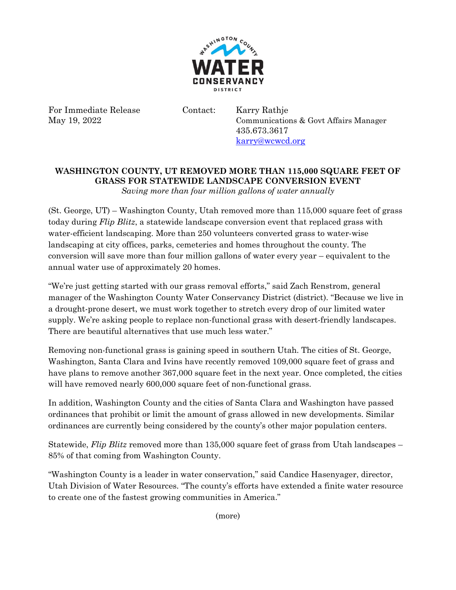

For Immediate Release Contact: Karry Rathje

May 19, 2022 Communications & Govt Affairs Manager 435.673.3617 [karry@wcwcd.org](mailto:karry@wcwcd.org)

## **WASHINGTON COUNTY, UT REMOVED MORE THAN 115,000 SQUARE FEET OF GRASS FOR STATEWIDE LANDSCAPE CONVERSION EVENT** *Saving more than four million gallons of water annually*

(St. George, UT) – Washington County, Utah removed more than 115,000 square feet of grass today during *Flip Blitz*, a statewide landscape conversion event that replaced grass with water-efficient landscaping. More than 250 volunteers converted grass to water-wise landscaping at city offices, parks, cemeteries and homes throughout the county. The conversion will save more than four million gallons of water every year – equivalent to the annual water use of approximately 20 homes.

"We're just getting started with our grass removal efforts," said Zach Renstrom, general manager of the Washington County Water Conservancy District (district). "Because we live in a drought-prone desert, we must work together to stretch every drop of our limited water supply. We're asking people to replace non-functional grass with desert-friendly landscapes. There are beautiful alternatives that use much less water."

Removing non-functional grass is gaining speed in southern Utah. The cities of St. George, Washington, Santa Clara and Ivins have recently removed 109,000 square feet of grass and have plans to remove another 367,000 square feet in the next year. Once completed, the cities will have removed nearly 600,000 square feet of non-functional grass.

In addition, Washington County and the cities of Santa Clara and Washington have passed ordinances that prohibit or limit the amount of grass allowed in new developments. Similar ordinances are currently being considered by the county's other major population centers.

Statewide, *Flip Blitz* removed more than 135,000 square feet of grass from Utah landscapes – 85% of that coming from Washington County.

"Washington County is a leader in water conservation," said Candice Hasenyager, director, Utah Division of Water Resources. "The county's efforts have extended a finite water resource to create one of the fastest growing communities in America."

(more)